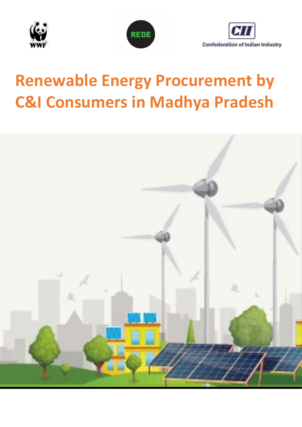





# **Renewable Energy Procurement by C&I Consumers in Madhya Pradesh**

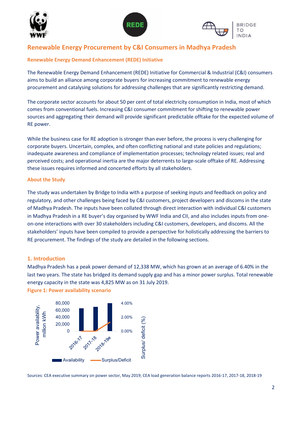





# **Renewable Energy Procurement by C&I Consumers in Madhya Pradesh**

# **Renewable Energy Demand Enhancement (REDE) Initiative**

The Renewable Energy Demand Enhancement (REDE) Initiative for Commercial & Industrial (C&I) consumers aims to build an alliance among corporate buyers for increasing commitment to renewable energy procurement and catalysing solutions for addressing challenges that are significantly restricting demand.

The corporate sector accounts for about 50 per cent of total electricity consumption in India, most of which comes from conventional fuels. Increasing C&I consumer commitment for shifting to renewable power sources and aggregating their demand will provide significant predictable offtake for the expected volume of RE power.

While the business case for RE adoption is stronger than ever before, the process is very challenging for corporate buyers. Uncertain, complex, and often conflicting national and state policies and regulations; inadequate awareness and compliance of implementation processes; technology related issues; real and perceived costs; and operational inertia are the major deterrents to large-scale offtake of RE. Addressing these issues requires informed and concerted efforts by all stakeholders.

#### **About the Study**

The study was undertaken by Bridge to India with a purpose of seeking inputs and feedback on policy and regulatory, and other challenges being faced by C&I customers, project developers and discoms in the state of Madhya Pradesh. The inputs have been collated through direct interaction with individual C&I customers in Madhya Pradesh in a RE buyer's day organised by WWF India and CII, and also includes inputs from oneon-one interactions with over 30 stakeholders including C&I customers, developers, and discoms. All the stakeholders' inputs have been compiled to provide a perspective for holistically addressing the barriers to RE procurement. The findings of the study are detailed in the following sections.

# **1. Introduction**

Madhya Pradesh has a peak power demand of 12,338 MW, which has grown at an average of 6.40% in the last two years. The state has bridged its demand supply gap and has a minor power surplus. Total renewable energy capacity in the state was 4,825 MW as on 31 July 2019.

**Figure 1: Power availability scenario**



Sources: CEA executive summary on power sector, May 2019; CEA load generation balance reports 2016-17, 2017-18, 2018-19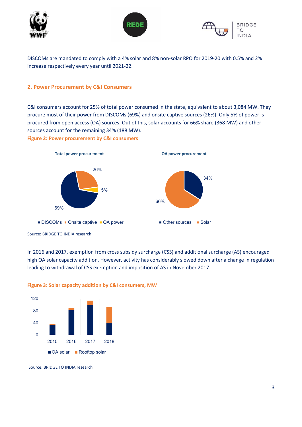





DISCOMs are mandated to comply with a 4% solar and 8% non-solar RPO for 2019-20 with 0.5% and 2% increase respectively every year until 2021-22.

# **2. Power Procurement by C&I Consumers**

C&I consumers account for 25% of total power consumed in the state, equivalent to about 3,084 MW. They procure most of their power from DISCOMs (69%) and onsite captive sources (26%). Only 5% of power is procured from open access (OA) sources. Out of this, solar accounts for 66% share (368 MW) and other sources account for the remaining 34% (188 MW).

**Figure 2: Power procurement by C&I consumers** 



Source: BRIDGE TO INDIA research

In 2016 and 2017, exemption from cross subsidy surcharge (CSS) and additional surcharge (AS) encouraged high OA solar capacity addition. However, activity has considerably slowed down after a change in regulation leading to withdrawal of CSS exemption and imposition of AS in November 2017.



## **Figure 3: Solar capacity addition by C&I consumers, MW**

Source: BRIDGE TO INDIA research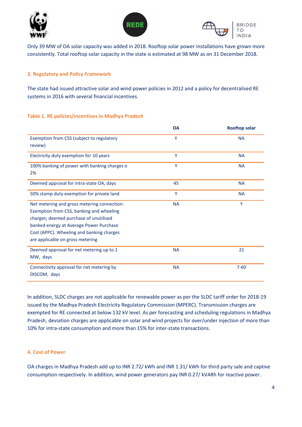





Only 39 MW of OA solar capacity was added in 2018. Rooftop solar power installations have grown more consistently. Total rooftop solar capacity in the state is estimated at 98 MW as on 31 December 2018.

# **3. Regulatory and Policy Framework**

The state had issued attractive solar and wind power policies in 2012 and a policy for decentralised RE systems in 2016 with several financial incentives.

# **Table 1. RE policies/incentives in Madhya Pradesh**

|                                                                                                                                                                                                                                                               | <b>OA</b> | <b>Rooftop solar</b> |
|---------------------------------------------------------------------------------------------------------------------------------------------------------------------------------------------------------------------------------------------------------------|-----------|----------------------|
| Exemption from CSS (subject to regulatory<br>review)                                                                                                                                                                                                          | Y         | <b>NA</b>            |
| Electricity duty exemption for 10 years                                                                                                                                                                                                                       | Υ         | <b>NA</b>            |
| 100% banking of power with banking charges o<br>2%                                                                                                                                                                                                            | Y         | <b>NA</b>            |
| Deemed approval for intra-state OA, days                                                                                                                                                                                                                      | 45        | <b>NA</b>            |
| 50% stamp duty exemption for private land                                                                                                                                                                                                                     | Y         | <b>NA</b>            |
| Net metering and gross metering connection:<br>Exemption from CSS, banking and wheeling<br>charges; deemed purchase of unutilised<br>banked energy at Average Power Purchase<br>Cost (APPC). Wheeling and banking charges<br>are applicable on gross metering | <b>NA</b> | Y                    |
| Deemed approval for net metering up to 1<br>MW, days                                                                                                                                                                                                          | <b>NA</b> | 21                   |
| Connectivity approval for net metering by<br>DISCOM, days                                                                                                                                                                                                     | <b>NA</b> | $7 - 60$             |

In addition, SLDC charges are not applicable for renewable power as per the SLDC tariff order for 2018-19 issued by the Madhya Pradesh Electricity Regulatory Commission (MPERC). Transmission charges are exempted for RE connected at below 132 kV level. As per forecasting and scheduling regulations in Madhya Pradesh, deviation charges are applicable on solar and wind projects for over/under injection of more than 10% for intra-state consumption and more than 15% for inter-state transactions.

# **4. Cost of Power**

OA charges in Madhya Pradesh add up to INR 2.72/ kWh and INR 1.31/ kWh for third party sale and captive consumption respectively. In addition, wind power generators pay INR 0.27/ kVARh for reactive power.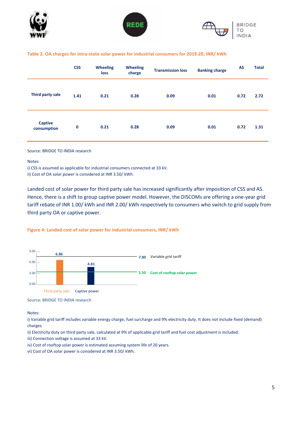





#### **Table 2. OA charges for intra-state solar power for industrial consumers for 2019-20, INR/ kWh**

|                               | <b>CSS</b>  | <b>Wheeling</b><br>loss | <b>Wheeling</b><br>charge | <b>Transmission loss</b> | <b>Banking charge</b> | AS   | <b>Total</b> |
|-------------------------------|-------------|-------------------------|---------------------------|--------------------------|-----------------------|------|--------------|
| Third party sale              | 1.41        | 0.21                    | 0.28                      | 0.09                     | 0.01                  | 0.72 | 2.72         |
| <b>Captive</b><br>consumption | $\mathbf 0$ | 0.21                    | 0.28                      | 0.09                     | 0.01                  | 0.72 | 1.31         |

#### Source: BRIDGE TO INDIA research

Notes:

i) CSS is assumed as applicable for industrial consumers connected at 33 kV.

ii) Cost of OA solar power is considered at INR 3.50/ kWh.

Landed cost of solar power for third party sale has increased significantly after imposition of CSS and AS. Hence, there is a shift to group captive power model. However, the DISCOMs are offering a one-year grid tariff rebate of INR 1.00/ kWh and INR 2.00/ kWh respectively to consumers who switch to grid supply from third party OA or captive power.

#### **Figure 4: Landed cost of solar power for industrial consumers, INR/ kWh**



Source: BRIDGE TO INDIA research

Notes:

i) Variable grid tariff includes variable energy charge, fuel surcharge and 9% electricity duty. It does not include fixed (demand) charges.

- ii) Electricity duty on third party sale, calculated at 9% of applicable grid tariff and fuel cost adjustment is included.
- iii) Connection voltage is assumed at 33 kV.
- iv) Cost of rooftop solar power is estimated assuming system life of 20 years.
- vi) Cost of OA solar power is considered at INR 3.50/ kWh.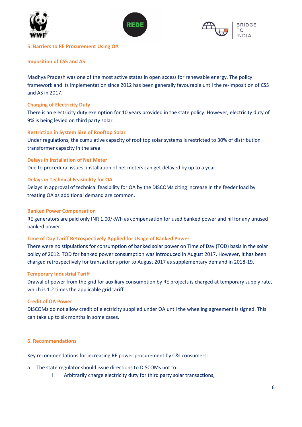





#### **5. Barriers to RE Procurement Using OA**

#### **Imposition of CSS and AS**

Madhya Pradesh was one of the most active states in open access for renewable energy. The policy framework and its implementation since 2012 has been generally favourable until the re-imposition of CSS and AS in 2017.

#### **Charging of Electricity Duty**

There is an electricity duty exemption for 10 years provided in the state policy. However, electricity duty of 9% is being levied on third party solar.

# **Restriction in System Size of Rooftop Solar**

Under regulations, the cumulative capacity of roof top solar systems is restricted to 30% of distribution transformer capacity in the area.

#### **Delays in Installation of Net Meter**

Due to procedural issues, installation of net meters can get delayed by up to a year.

# **Delays in Technical Feasibility for OA**

Delays in approval of technical feasibility for OA by the DISCOMs citing increase in the feeder load by treating OA as additional demand are common.

#### **Banked Power Compensation**

RE generators are paid only INR 1.00/kWh as compensation for used banked power and nil for any unused banked power.

#### **Time of Day Tariff Retrospectively Applied for Usage of Banked Power**

There were no stipulations for consumption of banked solar power on Time of Day (TOD) basis in the solar policy of 2012. TOD for banked power consumption was introduced in August 2017. However, it has been charged retrospectively for transactions prior to August 2017 as supplementary demand in 2018-19.

#### **Temporary Industrial Tariff**

Drawal of power from the grid for auxiliary consumption by RE projects is charged at temporary supply rate, which is 1.2 times the applicable grid tariff.

#### **Credit of OA Power**

DISCOMs do not allow credit of electricity supplied under OA until the wheeling agreement is signed. This can take up to six months in some cases.

# **6. Recommendations**

Key recommendations for increasing RE power procurement by C&I consumers:

- a. The state regulator should issue directions to DISCOMs not to:
	- i. Arbitrarily charge electricity duty for third party solar transactions,